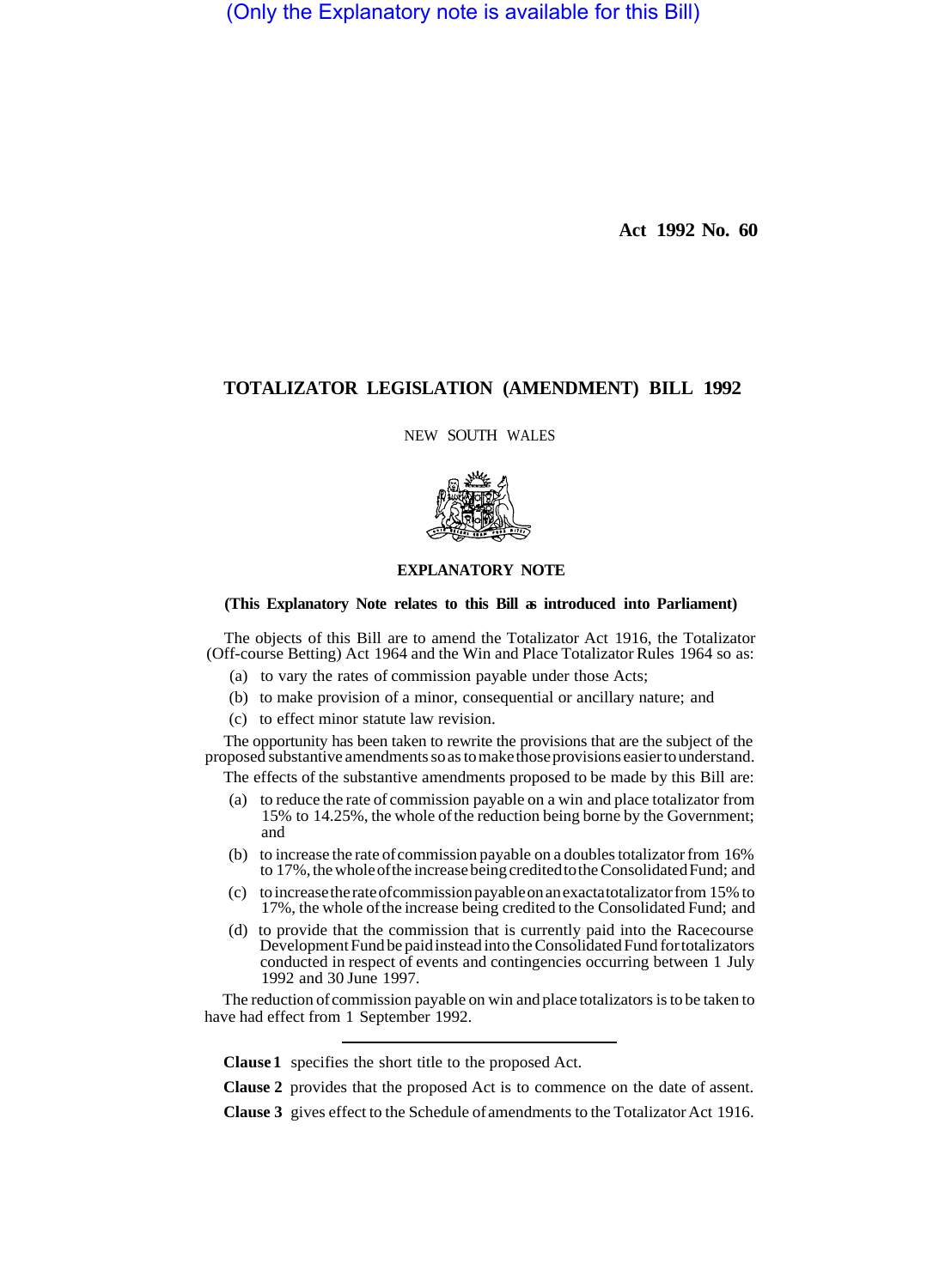(Only the Explanatory note is available for this Bill)

**Act 1992 No. 60** 

## **TOTALIZATOR LEGISLATION (AMENDMENT) BILL 1992**

NEW SOUTH WALES



## **EXPLANATORY NOTE**

## **(This Explanatory Note relates to this Bill as introduced into Parliament)**

The objects of this Bill are to amend the Totalizator Act 1916, the Totalizator (Off-course Betting) Act 1964 and the Win and Place Totalizator Rules 1964 so as:

- (a) to vary the rates of commission payable under those Acts;
- (b) to make provision of a minor, consequential or ancillary nature; and
- (c) to effect minor statute law revision.

The opportunity has been taken to rewrite the provisions that are the subject of the proposed substantive amendments so as to make those provisions easier to understand.

The effects of the substantive amendments proposed to be made by this Bill are:

- (a) to reduce the rate of commission payable on a win and place totalizator from 15% to 14.25%, the whole of the reduction being borne by the Government; and
- (b) to increase the rate of commission payable on a doubles totalizator from 16% to 17%, the whole of the increase being credited to the Consolidated Fund; and
- (c) to increase the rate of commission payable on an exacta totalizator from 15% to 17%, the whole of the increase being credited to the Consolidated Fund; and
- (d) to provide that the commission that is currently paid into the Racecourse Development Fund be paid instead into the Consolidated Fund for totalizators conducted in respect of events and contingencies occurring between 1 July 1992 and 30 June 1997.

The reduction of commission payable on win and place totalizators is to be taken to have had effect from 1 September 1992.

**Clause 1**  specifies the short title to the proposed Act.

**Clause 2**  provides that the proposed Act is to commence on the date of assent.

**Clause 3**  gives effect to the Schedule of amendments to the Totalizator Act 1916.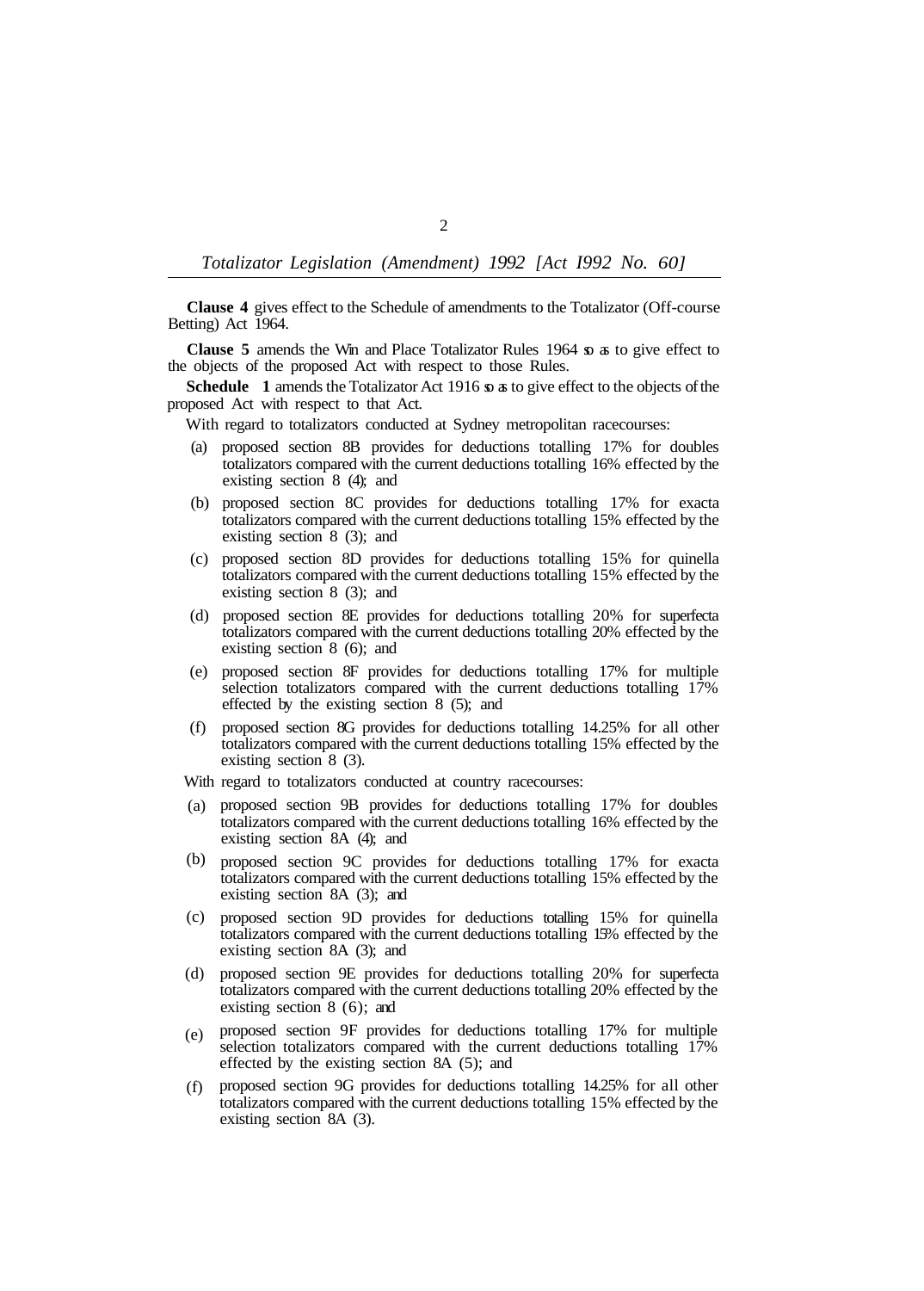*Totalizator Legislation (Amendment) 1992 [Act I992 No. 60]* 

**Clause 4** gives effect to the Schedule of amendments to the Totalizator (Off-course Betting) Act 1964.

**Clause 5** amends the Win and Place Totalizator Rules 1964 so as to give effect to the objects of the proposed Act with respect to those Rules.

**Schedule** 1 amends the Totalizator Act 1916 so as to give effect to the objects of the proposed Act with respect to that Act.

- With regard to totalizators conducted at Sydney metropolitan racecourses:
- (a) proposed section 8B provides for deductions totalling 17% for doubles totalizators compared with the current deductions totalling 16% effected by the existing section 8 (4); and
- (b) proposed section 8C provides for deductions totalling 17% for exacta totalizators compared with the current deductions totalling 15% effected by the existing section 8 (3); and
- (c) proposed section 8D provides for deductions totalling 15% for quinella totalizators compared with the current deductions totalling 15% effected by the existing section 8 (3); and
- (d) proposed section 8E provides for deductions totalling 20% for superfecta totalizators compared with the current deductions totalling 20% effected by the existing section 8 (6); and
- (e) proposed section 8F provides for deductions totalling 17% for multiple selection totalizators compared with the current deductions totalling 17% effected by the existing section 8 (5); and
- (f) proposed section 8G provides for deductions totalling 14.25% for all other totalizators compared with the current deductions totalling 15% effected by the existing section 8 (3).
- With regard to totalizators conducted at country racecourses:
- proposed section 9B provides for deductions totalling 17% for doubles (a) totalizators compared with the current deductions totalling 16% effected by the existing section 8A (4); and
- (b) proposed section 9C provides for deductions totalling 17% for exacta totalizators compared with the current deductions totalling 15% effected by the existing section 8A (3); and
- proposed section 9D provides for deductions totalling 15% for quinella (c) totalizators compared with the current deductions totalling 15% effected by the existing section 8A (3); and
- (d) proposed section 9E provides for deductions totalling 20% for superfecta totalizators compared with the current deductions totalling 20% effected by the existing section 8 (6); and
- proposed section 9F provides for deductions totalling 17% for multiple selection totalizators compared with the current deductions totalling 17% effected by the existing section 8A (5); and (e)
- proposed section 9G provides for deductions totalling 14.25% for all other totalizators compared with the current deductions totalling 15% effected by the existing section 8A (3).  $(f)$